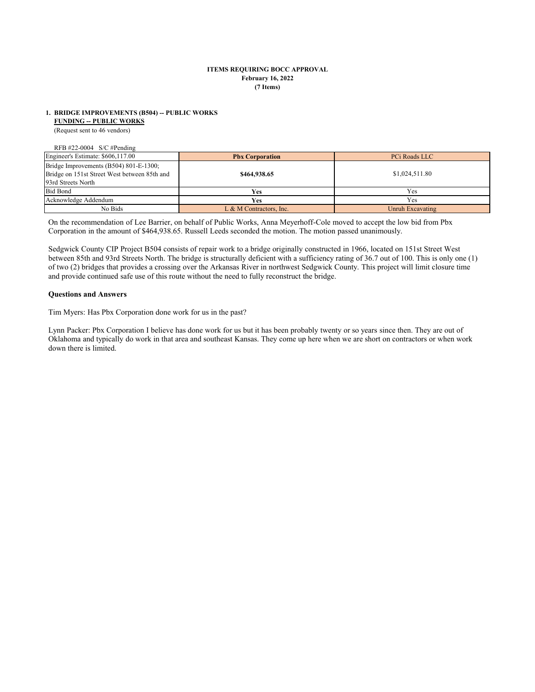### **February 16, 2022 (7 Items) ITEMS REQUIRING BOCC APPROVAL**

### **1. BRIDGE IMPROVEMENTS (B504) -- PUBLIC WORKS**

 **FUNDING -- PUBLIC WORKS**

(Request sent to 46 vendors)

RFB #22-0004 S/C #Pending

| Engineer's Estimate: \$606,117.00                                                                            | <b>Pbx Corporation</b>  | PCi Roads LLC    |
|--------------------------------------------------------------------------------------------------------------|-------------------------|------------------|
| Bridge Improvements (B504) 801-E-1300;<br>Bridge on 151st Street West between 85th and<br>93rd Streets North | \$464,938.65            | \$1,024,511.80   |
| <b>Bid Bond</b>                                                                                              | Yes.                    | Yes              |
| Acknowledge Addendum                                                                                         | <b>Yes</b>              | Yes              |
| No Bids                                                                                                      | L & M Contractors, Inc. | Unruh Excavating |

On the recommendation of Lee Barrier, on behalf of Public Works, Anna Meyerhoff-Cole moved to accept the low bid from Pbx Corporation in the amount of \$464,938.65. Russell Leeds seconded the motion. The motion passed unanimously.

Sedgwick County CIP Project B504 consists of repair work to a bridge originally constructed in 1966, located on 151st Street West between 85th and 93rd Streets North. The bridge is structurally deficient with a sufficiency rating of 36.7 out of 100. This is only one (1) of two (2) bridges that provides a crossing over the Arkansas River in northwest Sedgwick County. This project will limit closure time and provide continued safe use of this route without the need to fully reconstruct the bridge.

### **Questions and Answers**

Tim Myers: Has Pbx Corporation done work for us in the past?

Lynn Packer: Pbx Corporation I believe has done work for us but it has been probably twenty or so years since then. They are out of Oklahoma and typically do work in that area and southeast Kansas. They come up here when we are short on contractors or when work down there is limited.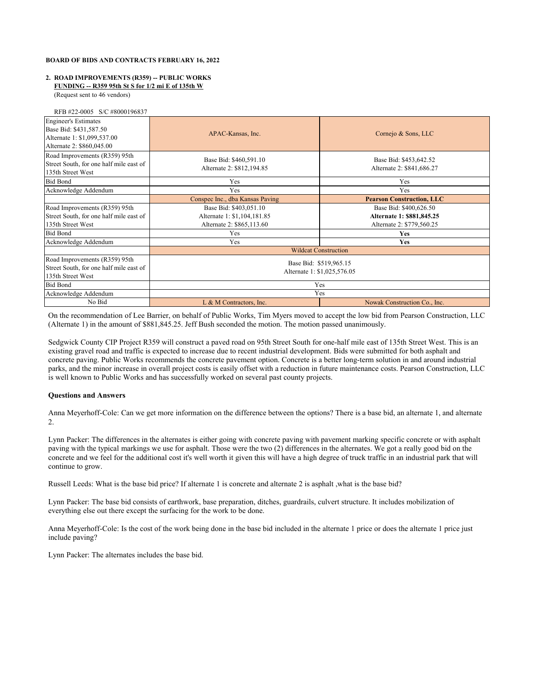### **FUNDING -- R359 95th St S for 1/2 mi E of 135th W 2. ROAD IMPROVEMENTS (R359) -- PUBLIC WORKS**

(Request sent to 46 vendors)

|  | RFB #22-0005 S/C #8000196837 |  |
|--|------------------------------|--|
|  |                              |  |

| <b>Engineer's Estimates</b><br>Base Bid: \$431,587.50<br>Alternate 1: \$1,099,537.00<br>Alternate 2: \$860,045.00 | APAC-Kansas, Inc.                                   | Cornejo & Sons, LLC                                   |
|-------------------------------------------------------------------------------------------------------------------|-----------------------------------------------------|-------------------------------------------------------|
| Road Improvements (R359) 95th<br>Street South, for one half mile east of<br>135th Street West                     | Base Bid: \$460,591.10<br>Alternate 2: \$812,194.85 | Base Bid: \$453,642.52<br>Alternate 2: \$841,686.27   |
| <b>Bid Bond</b>                                                                                                   | Yes                                                 | Yes                                                   |
| Acknowledge Addendum                                                                                              | Yes                                                 | Yes                                                   |
|                                                                                                                   | Conspec Inc., dba Kansas Paving                     | <b>Pearson Construction, LLC</b>                      |
| Road Improvements (R359) 95th                                                                                     | Base Bid: \$403,051.10                              | Base Bid: \$400,626.50                                |
| Street South, for one half mile east of                                                                           | Alternate 1: \$1,104,181.85                         | Alternate 1: \$881,845.25                             |
| 135th Street West                                                                                                 | Alternate 2: \$865,113.60                           | Alternate 2: \$779,560.25                             |
| <b>Bid Bond</b>                                                                                                   | Yes                                                 | Yes                                                   |
| Acknowledge Addendum                                                                                              | Yes                                                 | Yes                                                   |
|                                                                                                                   |                                                     | <b>Wildcat Construction</b>                           |
| Road Improvements (R359) 95th<br>Street South, for one half mile east of<br>135th Street West                     |                                                     | Base Bid: \$519,965.15<br>Alternate 1: \$1,025,576.05 |
| <b>Bid Bond</b>                                                                                                   |                                                     | Yes                                                   |
| Acknowledge Addendum                                                                                              |                                                     | Yes                                                   |
| No Bid                                                                                                            | L & M Contractors, Inc.                             | Nowak Construction Co., Inc.                          |

On the recommendation of Lee Barrier, on behalf of Public Works, Tim Myers moved to accept the low bid from Pearson Construction, LLC (Alternate 1) in the amount of \$881,845.25. Jeff Bush seconded the motion. The motion passed unanimously.

Sedgwick County CIP Project R359 will construct a paved road on 95th Street South for one-half mile east of 135th Street West. This is an existing gravel road and traffic is expected to increase due to recent industrial development. Bids were submitted for both asphalt and concrete paving. Public Works recommends the concrete pavement option. Concrete is a better long-term solution in and around industrial parks, and the minor increase in overall project costs is easily offset with a reduction in future maintenance costs. Pearson Construction, LLC is well known to Public Works and has successfully worked on several past county projects.

### **Questions and Answers**

Anna Meyerhoff-Cole: Can we get more information on the difference between the options? There is a base bid, an alternate 1, and alternate 2.

Lynn Packer: The differences in the alternates is either going with concrete paving with pavement marking specific concrete or with asphalt paving with the typical markings we use for asphalt. Those were the two (2) differences in the alternates. We got a really good bid on the concrete and we feel for the additional cost it's well worth it given this will have a high degree of truck traffic in an industrial park that will continue to grow.

Russell Leeds: What is the base bid price? If alternate 1 is concrete and alternate 2 is asphalt ,what is the base bid?

Lynn Packer: The base bid consists of earthwork, base preparation, ditches, guardrails, culvert structure. It includes mobilization of everything else out there except the surfacing for the work to be done.

Anna Meyerhoff-Cole: Is the cost of the work being done in the base bid included in the alternate 1 price or does the alternate 1 price just include paving?

Lynn Packer: The alternates includes the base bid.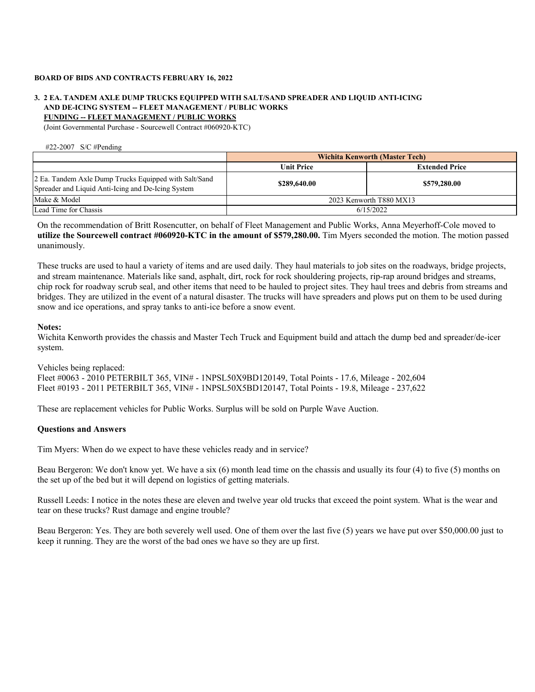# **3. 2 EA. TANDEM AXLE DUMP TRUCKS EQUIPPED WITH SALT/SAND SPREADER AND LIQUID ANTI-ICING FUNDING -- FLEET MANAGEMENT / PUBLIC WORKS AND DE-ICING SYSTEM -- FLEET MANAGEMENT / PUBLIC WORKS**

(Joint Governmental Purchase - Sourcewell Contract #060920-KTC)

#22-2007 S/C #Pending

|                                                                                                             | <b>Wichita Kenworth (Master Tech)</b> |                       |  |  |  |
|-------------------------------------------------------------------------------------------------------------|---------------------------------------|-----------------------|--|--|--|
|                                                                                                             | <b>Unit Price</b>                     | <b>Extended Price</b> |  |  |  |
| 2 Ea. Tandem Axle Dump Trucks Equipped with Salt/Sand<br>Spreader and Liquid Anti-Icing and De-Icing System | \$289,640.00                          | \$579,280.00          |  |  |  |
| Make & Model                                                                                                | 2023 Kenworth T880 MX13               |                       |  |  |  |
| Lead Time for Chassis                                                                                       |                                       | 6/15/2022             |  |  |  |

On the recommendation of Britt Rosencutter, on behalf of Fleet Management and Public Works, Anna Meyerhoff-Cole moved to **utilize the Sourcewell contract #060920-KTC in the amount of \$579,280.00.** Tim Myers seconded the motion. The motion passed unanimously.

These trucks are used to haul a variety of items and are used daily. They haul materials to job sites on the roadways, bridge projects, and stream maintenance. Materials like sand, asphalt, dirt, rock for rock shouldering projects, rip-rap around bridges and streams, chip rock for roadway scrub seal, and other items that need to be hauled to project sites. They haul trees and debris from streams and bridges. They are utilized in the event of a natural disaster. The trucks will have spreaders and plows put on them to be used during snow and ice operations, and spray tanks to anti-ice before a snow event.

# **Notes:**

Wichita Kenworth provides the chassis and Master Tech Truck and Equipment build and attach the dump bed and spreader/de-icer system.

Vehicles being replaced: Fleet #0063 - 2010 PETERBILT 365, VIN# - 1NPSL50X9BD120149, Total Points - 17.6, Mileage - 202,604 Fleet #0193 - 2011 PETERBILT 365, VIN# - 1NPSL50X5BD120147, Total Points - 19.8, Mileage - 237,622

These are replacement vehicles for Public Works. Surplus will be sold on Purple Wave Auction.

# **Questions and Answers**

Tim Myers: When do we expect to have these vehicles ready and in service?

Beau Bergeron: We don't know yet. We have a six (6) month lead time on the chassis and usually its four (4) to five (5) months on the set up of the bed but it will depend on logistics of getting materials.

Russell Leeds: I notice in the notes these are eleven and twelve year old trucks that exceed the point system. What is the wear and tear on these trucks? Rust damage and engine trouble?

Beau Bergeron: Yes. They are both severely well used. One of them over the last five (5) years we have put over \$50,000.00 just to keep it running. They are the worst of the bad ones we have so they are up first.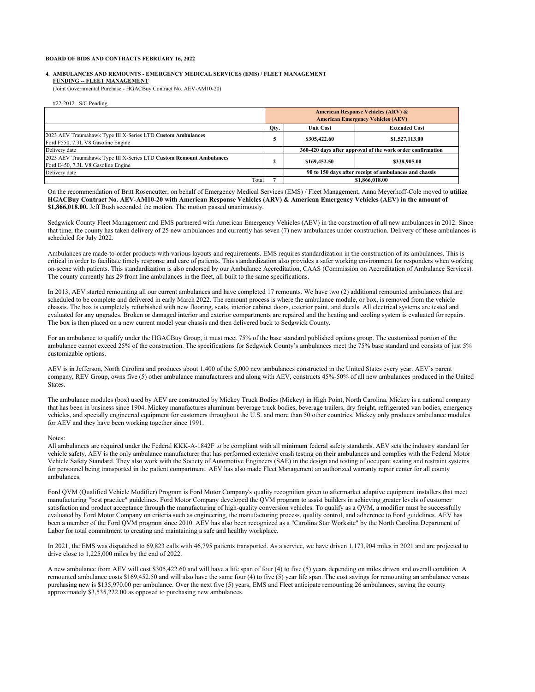#### **FUNDING -- FLEET MANAGEMENT 4. AMBULANCES AND REMOUNTS - EMERGENCY MEDICAL SERVICES (EMS) / FLEET MANAGEMENT**

(Joint Governmental Purchase - HGACBuy Contract No. AEV-AM10-20)

#22-2012 S/C Pending

|                                                                                                           | <b>American Response Vehicles (ARV) &amp;</b><br><b>American Emergency Vehicles (AEV)</b> |                                                            |                |  |  |
|-----------------------------------------------------------------------------------------------------------|-------------------------------------------------------------------------------------------|------------------------------------------------------------|----------------|--|--|
|                                                                                                           | Qty.                                                                                      | <b>Extended Cost</b><br><b>Unit Cost</b>                   |                |  |  |
| 2023 AEV Traumahawk Type III X-Series LTD Custom Ambulances<br>Ford F550, 7.3L V8 Gasoline Engine         |                                                                                           | \$305,422.60                                               | \$1,527,113.00 |  |  |
| Delivery date                                                                                             |                                                                                           | 360-420 days after approval of the work order confirmation |                |  |  |
| 2023 AEV Traumahawk Type III X-Series LTD Custom Remount Ambulances<br>Ford E450, 7.3L V8 Gasoline Engine |                                                                                           | \$169,452.50                                               | \$338,905.00   |  |  |
| Delivery date                                                                                             |                                                                                           | 90 to 150 days after receipt of ambulances and chassis     |                |  |  |
| Total                                                                                                     |                                                                                           |                                                            | \$1,866,018.00 |  |  |

On the recommendation of Britt Rosencutter, on behalf of Emergency Medical Services (EMS) / Fleet Management, Anna Meyerhoff-Cole moved to **utilize HGACBuy Contract No. AEV-AM10-20 with American Response Vehicles (ARV) & American Emergency Vehicles (AEV) in the amount of \$1,866,018.00.** Jeff Bush seconded the motion. The motion passed unanimously.

Sedgwick County Fleet Management and EMS partnered with American Emergency Vehicles (AEV) in the construction of all new ambulances in 2012. Since that time, the county has taken delivery of 25 new ambulances and currently has seven (7) new ambulances under construction. Delivery of these ambulances is scheduled for July 2022.

Ambulances are made-to-order products with various layouts and requirements. EMS requires standardization in the construction of its ambulances. This is critical in order to facilitate timely response and care of patients. This standardization also provides a safer working environment for responders when working on-scene with patients. This standardization is also endorsed by our Ambulance Accreditation, CAAS (Commission on Accreditation of Ambulance Services). The county currently has 29 front line ambulances in the fleet, all built to the same specifications.

In 2013, AEV started remounting all our current ambulances and have completed 17 remounts. We have two (2) additional remounted ambulances that are scheduled to be complete and delivered in early March 2022. The remount process is where the ambulance module, or box, is removed from the vehicle chassis. The box is completely refurbished with new flooring, seats, interior cabinet doors, exterior paint, and decals. All electrical systems are tested and evaluated for any upgrades. Broken or damaged interior and exterior compartments are repaired and the heating and cooling system is evaluated for repairs. The box is then placed on a new current model year chassis and then delivered back to Sedgwick County.

For an ambulance to qualify under the HGACBuy Group, it must meet 75% of the base standard published options group. The customized portion of the ambulance cannot exceed 25% of the construction. The specifications for Sedgwick County's ambulances meet the 75% base standard and consists of just 5% customizable options.

AEV is in Jefferson, North Carolina and produces about 1,400 of the 5,000 new ambulances constructed in the United States every year. AEV's parent company, REV Group, owns five (5) other ambulance manufacturers and along with AEV, constructs 45%-50% of all new ambulances produced in the United States.

The ambulance modules (box) used by AEV are constructed by Mickey Truck Bodies (Mickey) in High Point, North Carolina. Mickey is a national company that has been in business since 1904. Mickey manufactures aluminum beverage truck bodies, beverage trailers, dry freight, refrigerated van bodies, emergency vehicles, and specially engineered equipment for customers throughout the U.S. and more than 50 other countries. Mickey only produces ambulance modules for AEV and they have been working together since 1991.

#### Notes:

All ambulances are required under the Federal KKK-A-1842F to be compliant with all minimum federal safety standards. AEV sets the industry standard for vehicle safety. AEV is the only ambulance manufacturer that has performed extensive crash testing on their ambulances and complies with the Federal Motor Vehicle Safety Standard. They also work with the Society of Automotive Engineers (SAE) in the design and testing of occupant seating and restraint systems for personnel being transported in the patient compartment. AEV has also made Fleet Management an authorized warranty repair center for all county ambulances.

Ford QVM (Qualified Vehicle Modifier) Program is Ford Motor Company's quality recognition given to aftermarket adaptive equipment installers that meet manufacturing "best practice" guidelines. Ford Motor Company developed the QVM program to assist builders in achieving greater levels of customer satisfaction and product acceptance through the manufacturing of high-quality conversion vehicles. To qualify as a QVM, a modifier must be successfully evaluated by Ford Motor Company on criteria such as engineering, the manufacturing process, quality control, and adherence to Ford guidelines. AEV has been a member of the Ford QVM program since 2010. AEV has also been recognized as a "Carolina Star Worksite" by the North Carolina Department of Labor for total commitment to creating and maintaining a safe and healthy workplace.

In 2021, the EMS was dispatched to 69,823 calls with 46,795 patients transported. As a service, we have driven 1,173,904 miles in 2021 and are projected to drive close to 1,225,000 miles by the end of 2022.

A new ambulance from AEV will cost \$305,422.60 and will have a life span of four (4) to five (5) years depending on miles driven and overall condition. A remounted ambulance costs \$169,452.50 and will also have the same four (4) to five (5) year life span. The cost savings for remounting an ambulance versus purchasing new is \$135,970.00 per ambulance. Over the next five (5) years, EMS and Fleet anticipate remounting 26 ambulances, saving the county approximately \$3,535,222.00 as opposed to purchasing new ambulances.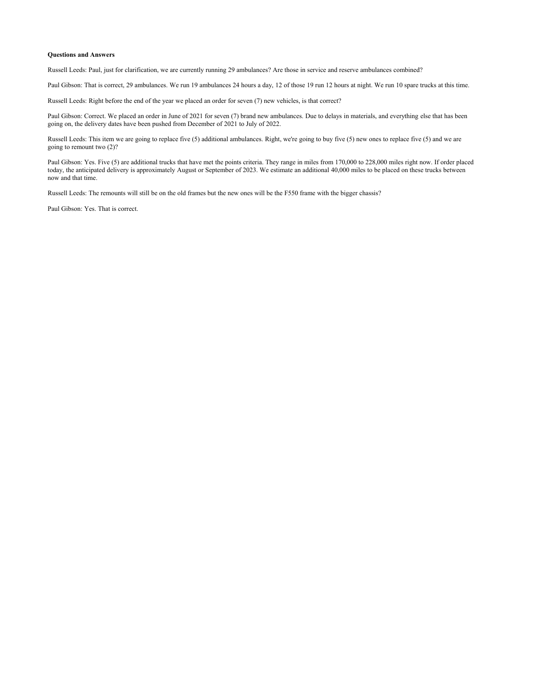#### **Questions and Answers**

Russell Leeds: Paul, just for clarification, we are currently running 29 ambulances? Are those in service and reserve ambulances combined?

Paul Gibson: That is correct, 29 ambulances. We run 19 ambulances 24 hours a day, 12 of those 19 run 12 hours at night. We run 10 spare trucks at this time.

Russell Leeds: Right before the end of the year we placed an order for seven (7) new vehicles, is that correct?

Paul Gibson: Correct. We placed an order in June of 2021 for seven (7) brand new ambulances. Due to delays in materials, and everything else that has been going on, the delivery dates have been pushed from December of 2021 to July of 2022.

Russell Leeds: This item we are going to replace five (5) additional ambulances. Right, we're going to buy five (5) new ones to replace five (5) and we are going to remount two (2)?

Paul Gibson: Yes. Five (5) are additional trucks that have met the points criteria. They range in miles from 170,000 to 228,000 miles right now. If order placed today, the anticipated delivery is approximately August or September of 2023. We estimate an additional 40,000 miles to be placed on these trucks between now and that time.

Russell Leeds: The remounts will still be on the old frames but the new ones will be the F550 frame with the bigger chassis?

Paul Gibson: Yes. That is correct.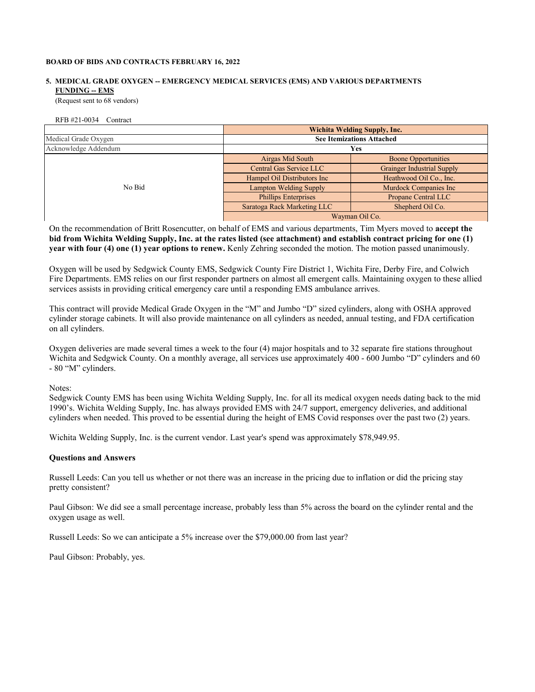# **FUNDING -- EMS 5. MEDICAL GRADE OXYGEN -- EMERGENCY MEDICAL SERVICES (EMS) AND VARIOUS DEPARTMENTS**

(Request sent to 68 vendors)

RFB #21-0034 Contract

|                      | <b>Wichita Welding Supply, Inc.</b> |                                   |  |  |
|----------------------|-------------------------------------|-----------------------------------|--|--|
| Medical Grade Oxygen | <b>See Itemizations Attached</b>    |                                   |  |  |
| Acknowledge Addendum | Yes                                 |                                   |  |  |
|                      | Airgas Mid South                    | <b>Boone Opportunities</b>        |  |  |
|                      | Central Gas Service LLC             | <b>Grainger Industrial Supply</b> |  |  |
|                      | Hampel Oil Distributors Inc         | Heathwood Oil Co., Inc.           |  |  |
| No Bid               | <b>Lampton Welding Supply</b>       | Murdock Companies Inc             |  |  |
|                      | <b>Phillips Enterprises</b>         | Propane Central LLC               |  |  |
|                      | Saratoga Rack Marketing LLC         | Shepherd Oil Co.                  |  |  |
|                      |                                     | Wayman Oil Co.                    |  |  |

On the recommendation of Britt Rosencutter, on behalf of EMS and various departments, Tim Myers moved to **accept the bid from Wichita Welding Supply, Inc. at the rates listed (see attachment) and establish contract pricing for one (1) year with four (4) one (1) year options to renew.** Kenly Zehring seconded the motion. The motion passed unanimously.

Oxygen will be used by Sedgwick County EMS, Sedgwick County Fire District 1, Wichita Fire, Derby Fire, and Colwich Fire Departments. EMS relies on our first responder partners on almost all emergent calls. Maintaining oxygen to these allied services assists in providing critical emergency care until a responding EMS ambulance arrives.

This contract will provide Medical Grade Oxygen in the "M" and Jumbo "D" sized cylinders, along with OSHA approved cylinder storage cabinets. It will also provide maintenance on all cylinders as needed, annual testing, and FDA certification on all cylinders.

Oxygen deliveries are made several times a week to the four (4) major hospitals and to 32 separate fire stations throughout Wichita and Sedgwick County. On a monthly average, all services use approximately 400 - 600 Jumbo "D" cylinders and 60 - 80 "M" cylinders.

Notes:

Sedgwick County EMS has been using Wichita Welding Supply, Inc. for all its medical oxygen needs dating back to the mid 1990's. Wichita Welding Supply, Inc. has always provided EMS with 24/7 support, emergency deliveries, and additional cylinders when needed. This proved to be essential during the height of EMS Covid responses over the past two (2) years.

Wichita Welding Supply, Inc. is the current vendor. Last year's spend was approximately \$78,949.95.

# **Questions and Answers**

Russell Leeds: Can you tell us whether or not there was an increase in the pricing due to inflation or did the pricing stay pretty consistent?

Paul Gibson: We did see a small percentage increase, probably less than 5% across the board on the cylinder rental and the oxygen usage as well.

Russell Leeds: So we can anticipate a 5% increase over the \$79,000.00 from last year?

Paul Gibson: Probably, yes.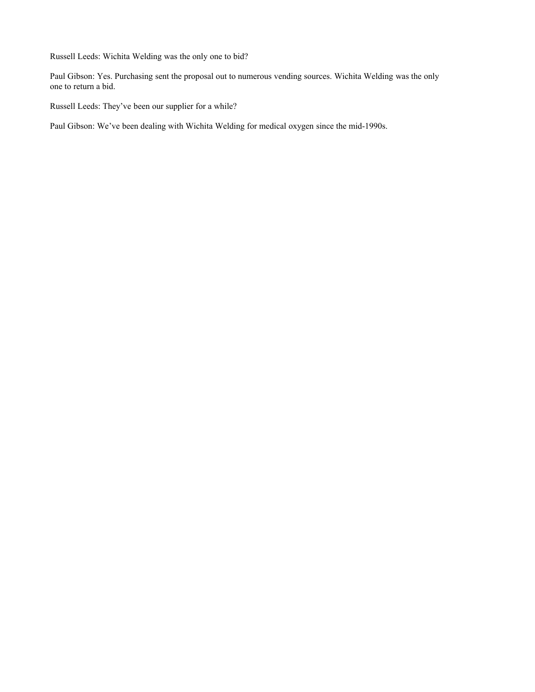Russell Leeds: Wichita Welding was the only one to bid?

Paul Gibson: Yes. Purchasing sent the proposal out to numerous vending sources. Wichita Welding was the only one to return a bid.

Russell Leeds: They've been our supplier for a while?

Paul Gibson: We've been dealing with Wichita Welding for medical oxygen since the mid-1990s.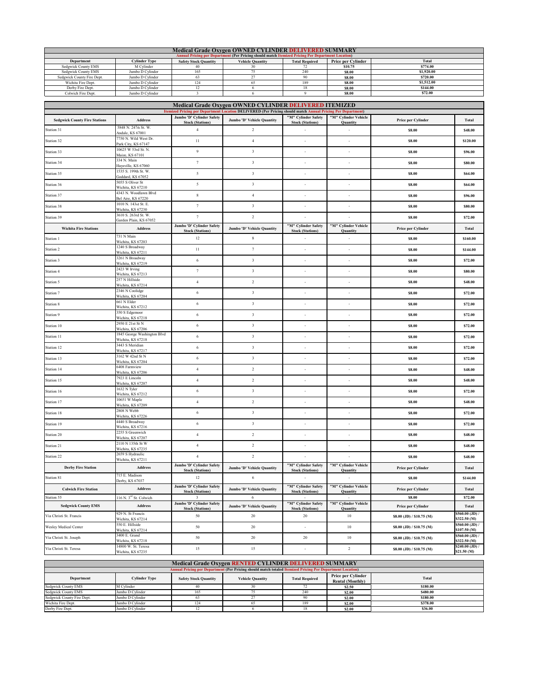| <b>Medical Grade Oxygen OWNED CYLINDER DELIVERED SUMMARY</b>                                                                                          |                                                                                                   |     |  |     |               |            |  |
|-------------------------------------------------------------------------------------------------------------------------------------------------------|---------------------------------------------------------------------------------------------------|-----|--|-----|---------------|------------|--|
|                                                                                                                                                       | Annual Pricing per Department (Per Pricing should match Itemized Pricing Per Department Location) |     |  |     |               |            |  |
| Total<br><b>Cylinder Type</b><br>Price per Cylinder<br><b>Safety Stock Quantity</b><br><b>Total Required</b><br>Department<br><b>Vehicle Ouantity</b> |                                                                                                   |     |  |     |               |            |  |
| Sedgwick County EMS                                                                                                                                   | M Cylinder                                                                                        |     |  |     | \$10.75       | \$774.00   |  |
| Sedgwick County EMS                                                                                                                                   | Jumbo D Cylinder                                                                                  | 165 |  | 240 | \$8.00        | \$1,920.00 |  |
| Sedgwick County Fire Dept.                                                                                                                            | Jumbo D Cvlinder                                                                                  | 63  |  |     | \$8.00        | \$720.00   |  |
| Wichita Fire Dept.                                                                                                                                    | Jumbo D Cvlinder                                                                                  | 124 |  | 189 | <b>\$8.00</b> | \$1,512.00 |  |
| Derby Fire Dept.                                                                                                                                      | Jumbo D Cvlinder                                                                                  |     |  |     | \$8.00        | \$144.00   |  |
| Colwich Fire Dept.                                                                                                                                    | Jumbo D Cylinder                                                                                  |     |  |     | \$8.00        | \$72.00    |  |

| Medical Grade Oxygen OWNED CYLINDER DELIVERED ITEMIZED |                                                  |                                                      |                                                                                                            |                                   |                                   |                              |                                 |
|--------------------------------------------------------|--------------------------------------------------|------------------------------------------------------|------------------------------------------------------------------------------------------------------------|-----------------------------------|-----------------------------------|------------------------------|---------------------------------|
|                                                        |                                                  | Jumbo 'D' Cylinder Safety                            | Itemized Pricing per Department Location DELIVERED (Per Pricing should match Annual Pricing Per Department | "M" Cylinder Safety               | "M" Cylinder Vehicle              |                              |                                 |
| <b>Sedgwick County Fire Stations</b>                   | Address                                          | <b>Stock (Stations)</b>                              | Jumbo 'D' Vehicle Quantity                                                                                 | <b>Stock (Stations)</b>           | Quantity                          | Price per Cylinder           | Total                           |
| Station 31                                             | 5848 N. 247th St. W.<br>Andale, KS 67001         | $\overline{4}$                                       | $\sqrt{2}$                                                                                                 |                                   |                                   | \$8.00                       | \$48.00                         |
| Station 32                                             | 7750 N. Wild West Dr.<br>Park City, KS 67147     | 11                                                   | $\sqrt{4}$                                                                                                 | ×,                                | $\overline{\phantom{a}}$          | \$8.00                       | \$120.00                        |
| Station 33                                             | 10625 W 53rd St. N.<br>Maize, KS 67101           | $\boldsymbol{9}$                                     | $\sqrt{3}$                                                                                                 | ٠                                 | ٠                                 | \$8.00                       | \$96.00                         |
| Station 34                                             | 334 N. Main<br>Haysville, KS 67060               | $\tau$                                               | $_{\rm 3}$                                                                                                 | $\overline{\phantom{a}}$          | $\overline{\phantom{a}}$          | \$8.00                       | \$80.00                         |
| Station 35                                             | 1535 S. 199th St. W.<br>Goddard, KS 67052        | $\mathfrak{s}$                                       | $\sqrt{3}$                                                                                                 | ÷                                 | $\overline{\phantom{a}}$          | \$8.00                       | \$64.00                         |
| Station 36                                             | 5055 S Oliver St<br>Wichita, KS 67210            | $\sqrt{2}$                                           | $\sqrt{3}$                                                                                                 | ×,                                |                                   | \$8.00                       | \$64.00                         |
| Station 37                                             | 4343 N. Woodlawn Blvd                            | $\,$ 8 $\,$                                          | $\overline{4}$                                                                                             | ÷,                                |                                   | \$8.00                       | \$96.00                         |
| Station 38                                             | Bel Aire, KS 67220<br>1010 N. 143rd St. E.       | $\tau$                                               | $\sqrt{3}$                                                                                                 | $\overline{\phantom{a}}$          | $\overline{\phantom{a}}$          | \$8.00                       | \$80.00                         |
| Station 39                                             | Wichita, KS 67230<br>3610 S. 263rd St. W.        | $\tau$                                               | $\sqrt{2}$                                                                                                 | $\overline{\phantom{a}}$          | ٠                                 | \$8.00                       | \$72.00                         |
| <b>Wichita Fire Stations</b>                           | Garden Plain, KS 67052<br>Address                | Jumbo 'D' Cylinder Safety                            | Jumbo 'D' Vehicle Quantity                                                                                 | "M" Cylinder Safety               | "M" Cylinder Vehicle              | Price per Cylinder           | Total                           |
| Station 1                                              | 731 N Main                                       | <b>Stock (Stations)</b><br>$12 \,$                   | 8                                                                                                          | <b>Stock (Stations)</b><br>÷      | Quantity<br>×                     | \$8.00                       | \$160.00                        |
| Station 2                                              | Wichita, KS 67203<br>1240 S Broadway             | $11\,$                                               | $\tau$                                                                                                     | $\centering \label{eq:reduced}$   | ×                                 | \$8.00                       | \$144.00                        |
|                                                        | Wichita, KS 67211<br>3261 N Broadway             | $\sqrt{6}$                                           | $\sqrt{3}$                                                                                                 | ÷                                 |                                   |                              |                                 |
| Station 3                                              | Wichita, KS 67219<br>2423 W Irving               |                                                      |                                                                                                            |                                   |                                   | \$8.00                       | \$72.00                         |
| Station 4                                              | Wichita, KS 67213<br>257 N Hillside              | $\tau$                                               | $_{\rm 3}$                                                                                                 | ÷                                 | i.                                | \$8.00                       | \$80.00                         |
| Station 5                                              | Wichita, KS 67214<br>2346 N Coolidge             | $\overline{4}$                                       | $\sqrt{2}$                                                                                                 | ÷                                 |                                   | \$8.00                       | \$48.00                         |
| Station 7                                              | Wichita, KS 67204                                | $\sqrt{6}$                                           | $\sqrt{3}$                                                                                                 | ÷,                                | ÷,                                | \$8.00                       | \$72.00                         |
| Station 8                                              | 661 N Elder<br>Wichita, KS 67212                 | 6                                                    | $_{\rm 3}$                                                                                                 | $\overline{\phantom{a}}$          | ٠                                 | \$8.00                       | \$72.00                         |
| Station 9                                              | 350 S Edgemoor<br>Wichita, KS 67218              | 6                                                    | $_{\rm 3}$                                                                                                 | ÷                                 | ÷                                 | \$8.00                       | \$72.00                         |
| Station 10                                             | 2950 E 21st St N<br>Wichita, KS 67206            | 6                                                    | $\sqrt{3}$                                                                                                 | ÷,                                | ٠                                 | \$8.00                       | \$72.00                         |
| Station 11                                             | 1845 George Washington Blvd<br>Wichita, KS 67218 | $\sqrt{6}$                                           | $\sqrt{3}$                                                                                                 | $\overline{a}$                    |                                   | \$8.00                       | \$72.00                         |
| Station 12                                             | 3443 S Meridian<br>Wichita, KS 67217             | $\,$ 6 $\,$                                          | $_{\rm 3}$                                                                                                 |                                   |                                   | \$8.00                       | \$72.00                         |
| Station 13                                             | 3162 W 42nd St N<br>Wichita, KS 67204            | $\sqrt{6}$                                           | $\sqrt{3}$                                                                                                 | $\overline{\phantom{a}}$          | $\overline{\phantom{a}}$          | \$8.00                       | \$72.00                         |
| Station 14                                             | 6408 Farmview<br>Wichita, KS 67206               | $\overline{4}$                                       | $\sqrt{2}$                                                                                                 | ٠                                 | ٠                                 | \$8.00                       | \$48.00                         |
| Station 15                                             | 7923 E Lincoln<br>Wichita, KS 67207              | $\sqrt{4}$                                           | $\sqrt{2}$                                                                                                 | $\overline{\phantom{a}}$          | ٠                                 | \$8.00                       | \$48.00                         |
| Station 16                                             | 1632 N Tyler                                     | $\sqrt{6}$                                           | $\sqrt{3}$                                                                                                 | $\overline{\phantom{a}}$          | ÷                                 | \$8.00                       | \$72.00                         |
| Station 17                                             | Wichita, KS 67212<br>10651 W Maple               | $\sqrt{4}$                                           | $\sqrt{2}$                                                                                                 | ٠                                 | $\overline{a}$                    | \$8.00                       | \$48.00                         |
| Station 18                                             | Wichita, KS 67209<br>2808 N Webb                 | 6                                                    | $_{\rm 3}$                                                                                                 | ÷                                 |                                   | \$8.00                       | \$72.00                         |
| Station 19                                             | Wichita, KS 67226<br>4440 S Broadway             | $\sqrt{6}$                                           | $\sqrt{3}$                                                                                                 | ÷,                                | ÷,                                | \$8.00                       | \$72.00                         |
|                                                        | Wichita, KS 67216<br>2255 S Greenwich            | $\sqrt{4}$                                           | $\sqrt{2}$                                                                                                 | $\overline{\phantom{a}}$          | $\overline{\phantom{a}}$          | \$8.00                       | \$48.00                         |
| Station 20                                             | Wichita, KS 67207<br>2110 N 135th St W           |                                                      |                                                                                                            | ×,                                | ٠                                 |                              |                                 |
| Station 21                                             | Wichita, KS 67235<br>2659 S Hydraulic            | $\overline{4}$                                       | $\sqrt{2}$                                                                                                 |                                   |                                   | \$8.00                       | \$48.00                         |
| Station 22                                             | Wichita, KS 67211                                | $\overline{4}$<br>Jumbo 'D' Cylinder Safety          | $\sqrt{2}$                                                                                                 | "M" Cylinder Safety               | "M" Cylinder Vehicle              | \$8.00                       | \$48.00                         |
| <b>Derby Fire Station</b>                              | Address<br>715 E. Madison                        | <b>Stock (Stations)</b>                              | Jumbo 'D' Vehicle Quantity                                                                                 | <b>Stock (Stations)</b>           | Quantity                          | Price per Cylinder           | Total                           |
| Station 81                                             | Derby, KS 67037                                  | 12<br>Jumbo 'D' Cylinder Safety                      | 6                                                                                                          | "M" Cylinder Safety               | "M" Cylinder Vehicle              | \$8.00                       | \$144.00                        |
| <b>Colwich Fire Station</b>                            | Address                                          | <b>Stock (Stations)</b>                              | Jumbo 'D' Vehicle Quantity                                                                                 | <b>Stock (Stations)</b>           | <b>Ouantity</b>                   | Price per Cylinder           | Total                           |
| Station 55<br><b>Sedgwick County EMS</b>               | 116 N. 3 <sup>rd</sup> St. Colwich<br>Address    | $\overline{\mathbf{3}}$<br>Jumbo 'D' Cylinder Safety | 6<br>Jumbo 'D' Vehicle Quantity                                                                            | "M" Cylinder Safety               | "M" Cylinder Vehicle              | \$8.00<br>Price per Cylinder | \$72.00<br>Total                |
| Via Christi St. Francis                                | 929 N. St Francis                                | <b>Stock (Stations)</b><br>$50\,$                    | 20                                                                                                         | <b>Stock (Stations)</b><br>$20\,$ | <b>Quantity</b><br>$10\,$         | \$8.00 (JD) / \$10.75 (M)    | 5560.00 (JD) /                  |
| Wesley Medical Center                                  | Wichita, KS 67214<br>550 E. Hillside             | 50                                                   | 20                                                                                                         | $\overline{\phantom{a}}$          | $10\,$                            | \$8.00 (JD) / \$10.75 (M)    | \$322.50 (M)<br>\$560.00 (JD)   |
|                                                        | Wichita, KS 67214<br>3400 E. Grand               |                                                      |                                                                                                            |                                   |                                   |                              | \$107.50 (M)<br>\$560,00 (JD) / |
| Via Christi St. Joseph                                 | Wichita, KS 67218<br>14800 W. St. Teresa         | $50\,$                                               | 20                                                                                                         | $20\,$                            | $10\,$                            | \$8.00 (JD) / \$10.75 (M)    | \$322.50 (M)<br>\$240.00 (JD) / |
| Via Christi St. Teresa                                 | Wichita, KS 67235                                | 15                                                   | 15                                                                                                         | ÷                                 | $\,2\,$                           | \$8.00 (JD) / \$10.75 (M)    | \$21.50 (M)                     |
|                                                        |                                                  |                                                      | Medical Grade Oxygen RENTED CYLINDER DELIVERED SUMMARY                                                     |                                   |                                   |                              |                                 |
|                                                        |                                                  |                                                      | Annual Pricing per Department (Per Pricing should match totaled Itemized Pricing Per Department Location)  |                                   | Price per Cylinder                |                              |                                 |
| Department<br>Sedgwick County EMS                      | <b>Cylinder Type</b><br>M Cylinder               | <b>Safety Stock Quantity</b><br>40                   | <b>Vehicle Quantity</b><br>30                                                                              | <b>Total Required</b><br>72       | <b>Rental (Monthly)</b><br>\$2.50 | Total<br>\$180.00            |                                 |
| Sedgwick County EMS                                    | Jumbo D Cylinder                                 | 165                                                  | 75                                                                                                         | 240                               | \$2.00                            | \$480.00                     |                                 |
| Sedgwick County Fire Dept.<br>Wichita Fire Dept.       | Jumbo D Cylinder<br>Jumbo D Cylinder             | 63<br>124                                            | 27<br>65                                                                                                   | 90<br>189                         | \$2.00<br>\$2.00                  | \$180.00<br>\$378.00         |                                 |
| Derby Fire Dept.                                       | Jumbo D Cylinder                                 | 12                                                   | 6                                                                                                          | 18                                | \$2.00                            | \$36.00                      |                                 |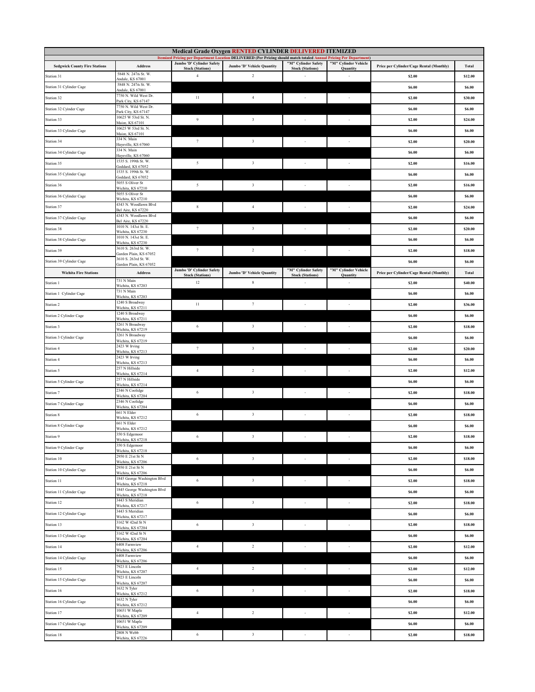| Medical Grade Oxygen RENTED CYLINDER DELIVERED ITEMIZED<br>Itemized Pricing per Department Location DELIVERED (Per Pricing should match totaled Annual Pricing Per Department) |                                                  |                                                      |                            |                                                |                                  |                                          |         |
|--------------------------------------------------------------------------------------------------------------------------------------------------------------------------------|--------------------------------------------------|------------------------------------------------------|----------------------------|------------------------------------------------|----------------------------------|------------------------------------------|---------|
| <b>Sedgwick County Fire Stations</b>                                                                                                                                           | Address                                          | Jumbo 'D' Cylinder Safety                            | Jumbo 'D' Vehicle Quantity | "M" Cylinder Safety                            | "M" Cylinder Vehicle             | Price per Cylinder/Cage Rental (Monthly) | Total   |
| Station 31                                                                                                                                                                     | 5848 N. 247th St. W.                             | <b>Stock (Stations)</b><br>$\overline{4}$            | $\sqrt{2}$                 | <b>Stock (Stations)</b>                        | <b>Quantity</b>                  | \$2.00                                   | \$12.00 |
| Station 31 Cylinder Cage                                                                                                                                                       | Andale, KS 67001<br>5848 N. 247th St. W.         |                                                      |                            |                                                |                                  | \$6.00                                   | \$6.00  |
| Station 32                                                                                                                                                                     | Andale, KS 67001<br>7750 N. Wild West Dr.        | $11\,$                                               | $\overline{4}$             |                                                | $\overline{\phantom{a}}$         | \$2.00                                   | \$30.00 |
| Station 32 Cyinder Cage                                                                                                                                                        | Park City, KS 67147<br>7750 N. Wild West Dr.     |                                                      |                            |                                                |                                  | \$6.00                                   | \$6.00  |
| Station 33                                                                                                                                                                     | Park City, KS 67147<br>10625 W 53rd St. N.       | $\overline{9}$                                       | $\overline{\mathbf{3}}$    |                                                | ٠                                | \$2.00                                   | \$24.00 |
|                                                                                                                                                                                | Maize, KS 67101<br>10625 W 53rd St. N.           |                                                      |                            |                                                |                                  |                                          |         |
| Station 33 Cylinder Cage<br>Station 34                                                                                                                                         | Maize, KS 67101<br>334 N. Main                   | $\tau$                                               | $\overline{\mathbf{3}}$    | $\overline{\phantom{a}}$                       | $\overline{\phantom{a}}$         | \$6.00                                   | \$6.00  |
|                                                                                                                                                                                | Haysville, KS 67060<br>334 N. Main               |                                                      |                            |                                                |                                  | \$2.00                                   | \$20.00 |
| Station 34 Cylinder Cage                                                                                                                                                       | Haysville, KS 67060<br>1535 S. 199th St. W.      | 5                                                    | $\overline{\mathbf{3}}$    |                                                |                                  | \$6.00                                   | \$6.00  |
| Station 35                                                                                                                                                                     | Goddard, KS 67052<br>1535 S. 199th St. W.        |                                                      |                            | $\overline{\phantom{a}}$                       | $\overline{\phantom{a}}$         | \$2.00                                   | \$16.00 |
| Station 35 Cylinder Cage                                                                                                                                                       | Goddard, KS 67052<br>5055 S Oliver St            |                                                      |                            |                                                |                                  | <b>\$6.00</b>                            | \$6.00  |
| Station 36                                                                                                                                                                     | Wichita, KS 67210<br>5055 S Oliver St            | 5                                                    | $\overline{\mathbf{3}}$    | $\overline{\phantom{a}}$                       | $\overline{\phantom{a}}$         | \$2.00                                   | \$16.00 |
| Station 36 Cylinder Cage                                                                                                                                                       | Wichita, KS 67210<br>4343 N. Woodlawn Blvd       |                                                      |                            |                                                |                                  | \$6.00                                   | \$6.00  |
| Station 37                                                                                                                                                                     | Bel Aire, KS 67220<br>4343 N. Woodlawn Blvd      | $\,$ 8 $\,$                                          | $\overline{4}$             | $\overline{\phantom{a}}$                       | $\sim$                           | \$2.00                                   | \$24.00 |
| Station 37 Cylinder Cage                                                                                                                                                       | Bel Aire, KS 67220<br>1010 N. 143rd St. E.       |                                                      |                            |                                                |                                  | \$6.00                                   | \$6.00  |
| Station 38                                                                                                                                                                     | Wichita, KS 67230                                | $\tau$                                               | $\overline{\mathbf{3}}$    | $\overline{\phantom{a}}$                       | $\overline{\phantom{a}}$         | \$2.00                                   | \$20.00 |
| Station 38 Cylinder Cage                                                                                                                                                       | 1010 N. 143rd St. E.<br>Wichita, KS 67230        |                                                      |                            |                                                |                                  | \$6.00                                   | \$6.00  |
| Station 39                                                                                                                                                                     | 3610 S. 263rd St. W.<br>Garden Plain, KS 67052   | $7\phantom{.0}$                                      | $\sqrt{2}$                 | $\overline{\phantom{a}}$                       | $\sim$                           | \$2.00                                   | \$18.00 |
| Station 39 Cylinder Cage                                                                                                                                                       | 3610 S. 263rd St. W.<br>Garden Plain, KS 67052   |                                                      |                            |                                                |                                  | \$6.00                                   | \$6.00  |
| <b>Wichita Fire Stations</b>                                                                                                                                                   | Address                                          | Jumbo 'D' Cylinder Safety<br><b>Stock (Stations)</b> | Jumbo 'D' Vehicle Quantity | "M" Cylinder Safety<br><b>Stock (Stations)</b> | "M" Cylinder Vehicle<br>Quantity | Price per Cylinder/Cage Rental (Monthly) | Total   |
| Station 1                                                                                                                                                                      | 731 N Main<br>Wichita, KS 67203                  | 12                                                   | $\bf 8$                    |                                                |                                  | \$2.00                                   | \$40.00 |
| Station 1 Cylinder Cage                                                                                                                                                        | 731 N Main<br>Wichita, KS 67203                  |                                                      |                            |                                                |                                  | \$6.00                                   | \$6.00  |
| Station 2                                                                                                                                                                      | 1240 S Broadway<br>Wichita, KS 67211             | 11                                                   | $\tau$                     |                                                | ٠.                               | \$2.00                                   | \$36.00 |
| Station 2 Cylinder Cage                                                                                                                                                        | 1240 S Broadway<br>Wichita, KS 67211             |                                                      |                            |                                                |                                  | \$6.00                                   | \$6.00  |
| Station 3                                                                                                                                                                      | 3261 N Broadway<br>Wichita, KS 67219             | $\,$ 6 $\,$                                          | $\sqrt{3}$                 |                                                | $\overline{\phantom{a}}$         | \$2.00                                   | \$18.00 |
| Station 3 Cylinder Cage                                                                                                                                                        | 3261 N Broadway<br>Wichita, KS 67219             |                                                      |                            |                                                |                                  | \$6.00                                   | \$6.00  |
| Station 4                                                                                                                                                                      | 2423 W Irving<br>Wichita, KS 67213               | $\tau$                                               | $\overline{\mathbf{3}}$    | $\overline{\phantom{a}}$                       | $\sim$                           | \$2.00                                   | \$20.00 |
| Station 4                                                                                                                                                                      | 2423 W Irving<br>Wichita, KS 67213               |                                                      |                            |                                                |                                  | \$6.00                                   | \$6.00  |
| Station 5                                                                                                                                                                      | 257 N Hillside<br>Wichita, KS 67214              | $\overline{4}$                                       | $\overline{2}$             |                                                |                                  | \$2.00                                   | \$12.00 |
| Station 5 Cylinder Cage                                                                                                                                                        | 257 N Hillside<br>Wichita, KS 67214              |                                                      |                            |                                                |                                  | \$6.00                                   | \$6.00  |
| Station 7                                                                                                                                                                      | 2346 N Coolidge<br>Wichita, KS 67204             | 6                                                    | $\overline{\mathbf{3}}$    | $\overline{\phantom{a}}$                       | $\overline{\phantom{a}}$         | \$2.00                                   | \$18.00 |
| Station 7 Cylinder Cage                                                                                                                                                        | 2346 N Coolidge                                  |                                                      |                            |                                                |                                  | \$6.00                                   | \$6.00  |
| Station 8                                                                                                                                                                      | Wichita, KS 67204<br>661 N Elder                 | 6                                                    | $\overline{\mathbf{3}}$    | ٠.                                             | $\overline{\phantom{a}}$         | \$2.00                                   | \$18.00 |
| <b>Station 8 Cylinder Cage</b>                                                                                                                                                 | Wichita, KS 67212<br>661 N Elder                 |                                                      |                            |                                                |                                  | \$6.00                                   | \$6.00  |
| Station 9                                                                                                                                                                      | Wichita, KS 67212<br>350 S Edgemoor              | $\,$ 6 $\,$                                          | $\overline{\mathbf{3}}$    | $\sim$                                         | $\sim$                           | \$2.00                                   | \$18.00 |
| Station 9 Cylinder Cage                                                                                                                                                        | Vichita, KS 67218<br>350 S Edgemoor              |                                                      |                            |                                                |                                  | \$6.00                                   | \$6.00  |
| Station 10                                                                                                                                                                     | Wichita, KS 67218<br>2950 E 21st St N            | $\,$ 6 $\,$                                          | $\overline{\mathbf{3}}$    | $\overline{\phantom{a}}$                       | $\sim$                           | \$2.00                                   | \$18.00 |
| Station 10 Cylinder Cage                                                                                                                                                       | Wichita, KS 67206<br>2950 E 21st St N            |                                                      |                            |                                                |                                  | \$6.00                                   | \$6.00  |
| Station 11                                                                                                                                                                     | Wichita, KS 67206<br>1845 George Washington Blvd | $\,$ 6 $\,$                                          | $\overline{\mathbf{3}}$    |                                                |                                  | \$2.00                                   | \$18.00 |
| Station 11 Cylinder Cage                                                                                                                                                       | Wichita, KS 67218<br>1845 George Washington Blvd |                                                      |                            |                                                |                                  |                                          |         |
|                                                                                                                                                                                | Wichita, KS 67218<br>3443 S Meridian             |                                                      |                            |                                                |                                  | <b>\$6.00</b>                            | \$6.00  |
| Station 12                                                                                                                                                                     | Wichita, KS 67217<br>3443 S Meridian             | 6                                                    | $\overline{\mathbf{3}}$    | $\overline{\phantom{a}}$                       | $\overline{\phantom{a}}$         | \$2.00                                   | \$18.00 |
| Station 12 Cylinder Cage                                                                                                                                                       | Wichita, KS 67217<br>3162 W 42nd St N            |                                                      |                            |                                                |                                  | <b>\$6.00</b>                            | \$6.00  |
| Station 13                                                                                                                                                                     | Wichita, KS 67204<br>3162 W 42nd St N            | $\,$ 6 $\,$                                          | $\sqrt{3}$                 | $\overline{\phantom{a}}$                       | $\overline{\phantom{a}}$         | \$2.00                                   | \$18.00 |
| Station 13 Cylinder Cage                                                                                                                                                       | Wichita, KS 67204                                |                                                      |                            |                                                |                                  | <b>\$6.00</b>                            | \$6.00  |
| Station 14                                                                                                                                                                     | 6408 Farmview<br>Wichita, KS 67206               | $\ensuremath{4}$                                     | $\sqrt{2}$                 | $\overline{\phantom{a}}$                       | $\sim$                           | \$2.00                                   | \$12.00 |
| Station 14 Cylinder Cage                                                                                                                                                       | 6408 Farmview<br>Wichita, KS 67206               |                                                      |                            |                                                |                                  | \$6.00                                   | \$6.00  |
| Station 15                                                                                                                                                                     | 7923 E Lincoln<br>Wichita, KS 67207              | $\,$ 4 $\,$                                          | $\sqrt{2}$                 | $\overline{\phantom{a}}$                       | $\sim$                           | \$2.00                                   | \$12.00 |
| Station 15 Cylinder Cage                                                                                                                                                       | 7923 E Lincoln<br>Wichita, KS 67207              |                                                      |                            |                                                |                                  | <b>S6.00</b>                             | \$6.00  |
| Station 16                                                                                                                                                                     | 1632 N Tyler<br>Wichita, KS 67212                | 6                                                    | $\overline{\mathbf{3}}$    |                                                |                                  | \$2.00                                   | \$18.00 |
| Station 16 Cylinder Cage                                                                                                                                                       | 1632 N Tyler<br>Wichita, KS 67212                |                                                      |                            |                                                |                                  | <b>\$6.00</b>                            | \$6.00  |
| Station 17                                                                                                                                                                     | 10651 W Maple<br>Wichita, KS 67209               | $\overline{4}$                                       | $\sqrt{2}$                 |                                                | $\overline{\phantom{a}}$         | \$2.00                                   | \$12.00 |
| Station 17 Cylinder Cage                                                                                                                                                       | 10651 W Maple<br>Wichita, KS 67209               |                                                      |                            |                                                |                                  | <b>\$6.00</b>                            | \$6.00  |
| Station 18                                                                                                                                                                     | 2808 N Webb<br>Wichita, KS 67226                 | $\,$ 6 $\,$                                          | $\sqrt{3}$                 | $\overline{\phantom{a}}$                       | $\overline{\phantom{a}}$         | \$2.00                                   | \$18.00 |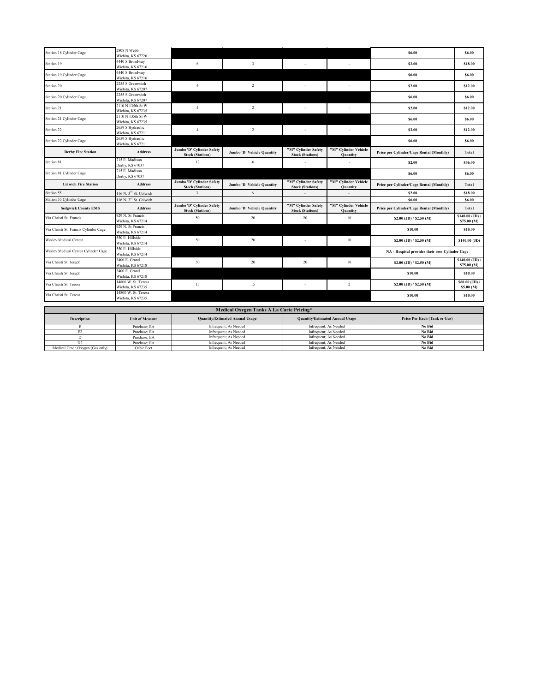| 2808 N Webb<br>Wichita, KS 67226         |                                                                                                                                                                                                                                                                   |                                                                                                                         |                                                |                                                                               |                                                |                                                |
|------------------------------------------|-------------------------------------------------------------------------------------------------------------------------------------------------------------------------------------------------------------------------------------------------------------------|-------------------------------------------------------------------------------------------------------------------------|------------------------------------------------|-------------------------------------------------------------------------------|------------------------------------------------|------------------------------------------------|
|                                          |                                                                                                                                                                                                                                                                   |                                                                                                                         |                                                |                                                                               | \$6.00                                         | \$6.00                                         |
| 4440 S Broadway                          |                                                                                                                                                                                                                                                                   | $\overline{\mathbf{3}}$                                                                                                 | ٠                                              |                                                                               |                                                |                                                |
| Wichita, KS 67216                        | 6                                                                                                                                                                                                                                                                 |                                                                                                                         |                                                |                                                                               | \$2.00                                         | \$18.00                                        |
|                                          |                                                                                                                                                                                                                                                                   |                                                                                                                         |                                                |                                                                               | \$6.00                                         | \$6.00                                         |
|                                          |                                                                                                                                                                                                                                                                   |                                                                                                                         |                                                |                                                                               |                                                |                                                |
| Wichita, KS 67207                        |                                                                                                                                                                                                                                                                   |                                                                                                                         |                                                |                                                                               |                                                | \$12.00                                        |
| 2255 S Greenwich                         |                                                                                                                                                                                                                                                                   |                                                                                                                         |                                                |                                                                               | \$6.00                                         | \$6.00                                         |
|                                          |                                                                                                                                                                                                                                                                   |                                                                                                                         |                                                |                                                                               |                                                |                                                |
| Wichita, KS 67235                        |                                                                                                                                                                                                                                                                   |                                                                                                                         |                                                |                                                                               |                                                | \$12.00                                        |
| 2110 N 135th St W                        |                                                                                                                                                                                                                                                                   |                                                                                                                         |                                                |                                                                               |                                                | \$6.00                                         |
|                                          |                                                                                                                                                                                                                                                                   |                                                                                                                         |                                                |                                                                               |                                                |                                                |
|                                          | $\overline{4}$                                                                                                                                                                                                                                                    | $\overline{c}$                                                                                                          |                                                |                                                                               | \$2.00                                         | \$12.00                                        |
|                                          |                                                                                                                                                                                                                                                                   |                                                                                                                         |                                                |                                                                               |                                                |                                                |
| Wichita, KS 67211                        |                                                                                                                                                                                                                                                                   |                                                                                                                         |                                                |                                                                               |                                                | \$6.00                                         |
| <b>Address</b>                           | Jumbo 'D' Cylinder Safety                                                                                                                                                                                                                                         | Jumbo 'D' Vehicle Quantity                                                                                              | "M" Cylinder Safety                            | "M" Cylinder Vehicle                                                          | Price per Cylinder/Cage Rental (Monthly)       | Total                                          |
| 715 E. Madison                           |                                                                                                                                                                                                                                                                   |                                                                                                                         |                                                |                                                                               |                                                | \$36.00                                        |
|                                          |                                                                                                                                                                                                                                                                   |                                                                                                                         |                                                |                                                                               |                                                |                                                |
|                                          |                                                                                                                                                                                                                                                                   |                                                                                                                         |                                                |                                                                               | \$6.00                                         | \$6.00                                         |
| <b>Address</b>                           | Jumbo 'D' Cylinder Safety                                                                                                                                                                                                                                         | Jumbo 'D' Vehicle Quantity                                                                                              | "M" Cylinder Safety                            | "M" Cylinder Vehicle<br><b>Quantity</b>                                       | Price per Cylinder/Cage Rental (Monthly)       | <b>Total</b>                                   |
| 116 N. 3 <sup>rd</sup> St. Colwich       | 3                                                                                                                                                                                                                                                                 | 6                                                                                                                       |                                                |                                                                               | \$2.00                                         | \$18.00                                        |
| 116 N. 3 <sup>rd</sup> St. Colwich       |                                                                                                                                                                                                                                                                   |                                                                                                                         |                                                |                                                                               | \$6.00                                         | \$6.00                                         |
| <b>Address</b>                           | Jumbo 'D' Cylinder Safety                                                                                                                                                                                                                                         | Jumbo 'D' Vehicle Quantity                                                                                              | "M" Cylinder Safety                            | "M" Cylinder Vehicle                                                          | Price per Cylinder/Cage Rental (Monthly)       | Total                                          |
| 929 N. St Francis                        | 50                                                                                                                                                                                                                                                                | 20                                                                                                                      | 20                                             | 10                                                                            | \$2.00 (JD) / \$2.50 (M)                       | \$140.00 (JD) /<br>\$75.00 (M)                 |
| 929 N. St Francis                        |                                                                                                                                                                                                                                                                   |                                                                                                                         |                                                |                                                                               |                                                |                                                |
|                                          |                                                                                                                                                                                                                                                                   |                                                                                                                         |                                                |                                                                               |                                                |                                                |
| Wichita, KS 67214                        |                                                                                                                                                                                                                                                                   |                                                                                                                         |                                                |                                                                               | \$10.00                                        | \$10.00                                        |
| 550 E. Hillside                          | 50                                                                                                                                                                                                                                                                | 20                                                                                                                      | ٠                                              | 10                                                                            | \$2.00 (JD) / \$2.50 (M)                       | \$140.00 (JD)                                  |
| Wichita, KS 67214                        |                                                                                                                                                                                                                                                                   |                                                                                                                         |                                                |                                                                               |                                                |                                                |
| 550 E. Hillside<br>Wichita, KS 67214     |                                                                                                                                                                                                                                                                   |                                                                                                                         |                                                |                                                                               | NA - Hospital provides their own Cylinder Cage |                                                |
| 3400 E. Grand                            |                                                                                                                                                                                                                                                                   |                                                                                                                         |                                                |                                                                               |                                                | $$140.00$ (JD) /                               |
| Wichita, KS 67218                        | 50                                                                                                                                                                                                                                                                | 20                                                                                                                      | 20                                             | 10                                                                            | $$2.00$ (JD) / $$2.50$ (M)                     | \$75.00 (M)                                    |
| 3400 E. Grand                            |                                                                                                                                                                                                                                                                   |                                                                                                                         |                                                |                                                                               | \$10.00                                        | \$10.00                                        |
| Wichita, KS 67218                        |                                                                                                                                                                                                                                                                   |                                                                                                                         |                                                |                                                                               |                                                |                                                |
| 14800 W. St. Teresa<br>Wichita, KS 67235 | 15                                                                                                                                                                                                                                                                | 15                                                                                                                      | $\overline{\phantom{a}}$                       | $\overline{2}$                                                                | $$2.00$ (JD) / $$2.50$ (M)                     | \$60.00 (JD) /<br>\$5.00 (M)                   |
| 14800 W. St. Teresa                      |                                                                                                                                                                                                                                                                   |                                                                                                                         |                                                |                                                                               |                                                |                                                |
| Wichita, KS 67235                        |                                                                                                                                                                                                                                                                   |                                                                                                                         |                                                |                                                                               | \$10.00                                        | \$10.00                                        |
|                                          |                                                                                                                                                                                                                                                                   |                                                                                                                         |                                                |                                                                               |                                                |                                                |
|                                          |                                                                                                                                                                                                                                                                   | Medical Oxygen Tanks A La Carte Pricing*                                                                                |                                                |                                                                               |                                                |                                                |
| <b>Unit of Measure</b>                   |                                                                                                                                                                                                                                                                   | <b>Quantity/Estimated Annual Usage</b>                                                                                  |                                                | <b>Quantity/Estimated Annual Usage</b>                                        | Price Per Each (Tank or Gas)                   |                                                |
| Purchase; EA                             |                                                                                                                                                                                                                                                                   | Infrequent; As Needed                                                                                                   | Infrequent; As Needed                          |                                                                               | No Bid                                         |                                                |
| Purchase; EA                             |                                                                                                                                                                                                                                                                   | Infrequent; As Needed                                                                                                   | Infrequent; As Needed                          |                                                                               | No Bid                                         |                                                |
| Purchase; EA                             |                                                                                                                                                                                                                                                                   | Infrequent; As Needed                                                                                                   | Infrequent; As Needed                          |                                                                               | No Bid                                         |                                                |
| Purchase; EA<br>Cubic Foot               |                                                                                                                                                                                                                                                                   | Infrequent; As Needed<br>Infrequent; As Needed                                                                          | Infrequent; As Needed<br>Infrequent; As Needed |                                                                               | No Bid<br>No Bid                               |                                                |
|                                          | 4440 S Broadway<br>Wichita, KS 67216<br>2255 S Greenwich<br>Wichita, KS 67207<br>2110 N 135th St W<br>Wichita, KS 67235<br>2659 S Hydraulic<br>Wichita, KS 67211<br>2659 S Hydraulic<br>Derby, KS 67037<br>715 E. Madison<br>Derby, KS 67037<br>Wichita, KS 67214 | $\overline{4}$<br>$\overline{4}$<br><b>Stock (Stations)</b><br>12<br><b>Stock (Stations)</b><br><b>Stock (Stations)</b> | $\overline{c}$<br>$\overline{2}$<br>6          | <b>Stock (Stations)</b><br><b>Stock (Stations)</b><br><b>Stock (Stations)</b> | <b>Quantity</b><br>Quantity                    | \$2.00<br>\$2.00<br>\$6.00<br>\$6.00<br>\$2.00 |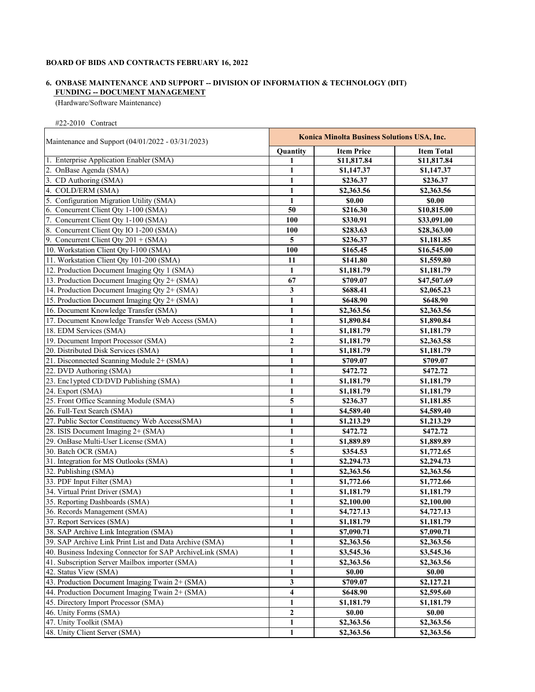# **FUNDING -- DOCUMENT MANAGEMENT 6. ONBASE MAINTENANCE AND SUPPORT -- DIVISION OF INFORMATION & TECHNOLOGY (DIT)**

(Hardware/Software Maintenance)

#22-2010 Contract

| Maintenance and Support (04/01/2022 - 03/31/2023)         | Konica Minolta Business Solutions USA, Inc. |                   |                   |
|-----------------------------------------------------------|---------------------------------------------|-------------------|-------------------|
|                                                           | Quantity                                    | <b>Item Price</b> | <b>Item Total</b> |
| 1. Enterprise Application Enabler (SMA)                   | 1                                           | \$11,817.84       | \$11,817.84       |
| 2. OnBase Agenda (SMA)                                    | 1                                           | \$1,147.37        | \$1,147.37        |
| 3. CD Authoring (SMA)                                     | 1                                           | \$236.37          | \$236.37          |
| 4. COLD/ERM (SMA)                                         | 1                                           | \$2,363.56        | \$2,363.56        |
| 5. Configuration Migration Utility (SMA)                  | 1                                           | \$0.00            | \$0.00            |
| 6. Concurrent Client Qty 1-100 (SMA)                      | 50                                          | \$216.30          | \$10,815.00       |
| 7. Concurrent Client Qty 1-100 (SMA)                      | 100                                         | \$330.91          | \$33,091.00       |
| 8. Concurrent Client Qty IO 1-200 (SMA)                   | 100                                         | \$283.63          | \$28,363.00       |
| 9. Concurrent Client Qty $201 + (SMA)$                    | 5                                           | \$236.37          | \$1,181.85        |
| 10. Workstation Client Qty l-100 (SMA)                    | 100                                         | \$165.45          | \$16,545.00       |
| 11. Workstation Client Qty 101-200 (SMA)                  | 11                                          | \$141.80          | \$1,559.80        |
| 12. Production Document Imaging Qty 1 (SMA)               | 1                                           | \$1,181.79        | \$1,181.79        |
| 13. Production Document Imaging Qty 2+ (SMA)              | 67                                          | \$709.07          | \$47,507.69       |
| 14. Production Document Imaging Qty 2+ (SMA)              | 3                                           | \$688.41          | \$2,065.23        |
| 15. Production Document Imaging Qty 2+ (SMA)              | 1                                           | \$648.90          | \$648.90          |
| 16. Document Knowledge Transfer (SMA)                     | $\mathbf{1}$                                | \$2,363.56        | \$2,363.56        |
| 17. Document Knowledge Transfer Web Access (SMA)          | $\mathbf{1}$                                | \$1,890.84        | \$1,890.84        |
| 18. EDM Services (SMA)                                    | $\mathbf{1}$                                | \$1,181.79        | \$1,181.79        |
| 19. Document Import Processor (SMA)                       | $\overline{2}$                              | \$1,181.79        | \$2,363.58        |
| 20. Distributed Disk Services (SMA)                       | $\mathbf{1}$                                | \$1,181.79        | \$1,181.79        |
| 21. Disconnected Scanning Module 2+ (SMA)                 | $\mathbf{1}$                                | \$709.07          | \$709.07          |
| 22. DVD Authoring (SMA)                                   | $\mathbf{1}$                                | \$472.72          | \$472.72          |
| 23. Enclypted CD/DVD Publishing (SMA)                     | $\mathbf{1}$                                | \$1,181.79        | \$1,181.79        |
| 24. Export (SMA)                                          | $\mathbf{1}$                                | \$1,181.79        | \$1,181.79        |
| 25. Front Office Scanning Module (SMA)                    | 5                                           | \$236.37          | \$1,181.85        |
| 26. Full-Text Search (SMA)                                | 1                                           | \$4,589.40        | \$4,589.40        |
| 27. Public Sector Constituency Web Access(SMA)            | 1                                           | \$1,213.29        | \$1,213.29        |
| 28. ISIS Document Imaging 2+ (SMA)                        | 1                                           | \$472.72          | \$472.72          |
| 29. OnBase Multi-User License (SMA)                       | $\mathbf{1}$                                | \$1,889.89        | \$1,889.89        |
| 30. Batch OCR (SMA)                                       | 5                                           | \$354.53          | \$1,772.65        |
| 31. Integration for MS Outlooks (SMA)                     | $\mathbf{1}$                                | \$2,294.73        | \$2,294.73        |
| 32. Publishing (SMA)                                      | $\mathbf{1}$                                | \$2,363.56        | \$2,363.56        |
| 33. PDF Input Filter (SMA)                                | $\mathbf{1}$                                | \$1,772.66        | \$1,772.66        |
| 34. Virtual Print Driver (SMA)                            | $\mathbf{1}$                                | \$1,181.79        | \$1,181.79        |
| 35. Reporting Dashboards (SMA)                            | $\mathbf{1}$                                | \$2,100.00        | \$2,100.00        |
| 36. Records Management (SMA)                              | 1                                           | \$4,727.13        | \$4,727.13        |
| 37. Report Services (SMA)                                 |                                             | \$1,181.79        | \$1,181.79        |
| 38. SAP Archive Link Integration (SMA)                    | $\mathbf{1}$<br>1                           | \$7,090.71        | \$7,090.71        |
| 39. SAP Archive Link Print List and Data Archive (SMA)    |                                             |                   |                   |
|                                                           | 1                                           | \$2,363.56        | \$2,363.56        |
| 40. Business Indexing Connector for SAP ArchiveLink (SMA) | 1                                           | \$3,545.36        | \$3,545.36        |
| 41. Subscription Server Mailbox importer (SMA)            | 1                                           | \$2,363.56        | \$2,363.56        |
| 42. Status View (SMA)                                     | 1                                           | \$0.00            | \$0.00            |
| 43. Production Document Imaging Twain 2+ (SMA)            | 3                                           | \$709.07          | \$2,127.21        |
| 44. Production Document Imaging Twain 2+ (SMA)            | 4                                           | \$648.90          | \$2,595.60        |
| 45. Directory Import Processor (SMA)                      | 1                                           | \$1,181.79        | \$1,181.79        |
| 46. Unity Forms (SMA)                                     | $\boldsymbol{2}$                            | \$0.00            | \$0.00            |
| 47. Unity Toolkit (SMA)                                   | 1                                           | \$2,363.56        | \$2,363.56        |
| 48. Unity Client Server (SMA)                             | 1                                           | \$2,363.56        | \$2,363.56        |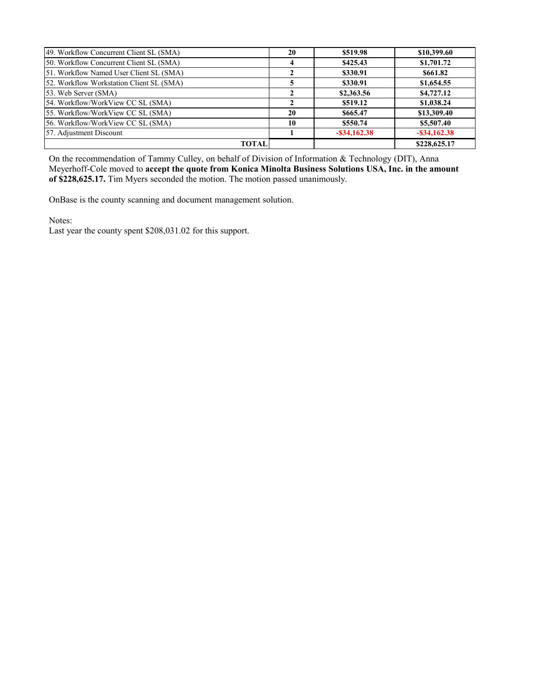| 49. Workflow Concurrent Client SL (SMA)  | 20           | \$519.98        | \$10,399.60     |
|------------------------------------------|--------------|-----------------|-----------------|
| 50. Workflow Concurrent Client SL (SMA)  |              | \$425.43        | \$1,701.72      |
| 51. Workflow Named User Client SL (SMA)  |              | \$330.91        | \$661.82        |
| 52. Workflow Workstation Client SL (SMA) |              | \$330.91        | \$1,654.55      |
| 53. Web Server (SMA)                     |              | \$2,363.56      | \$4,727.12      |
| 54. Workflow/WorkView CC SL (SMA)        |              | \$519.12        | \$1,038.24      |
| 55. Workflow/WorkView CC SL (SMA)        | 20           | \$665.47        | \$13,309.40     |
| 56. Workflow/WorkView CC SL (SMA)        | 10           | \$550.74        | \$5,507.40      |
| 57. Adjustment Discount                  |              | $-$ \$34,162.38 | $-$ \$34,162.38 |
|                                          | <b>TOTAL</b> |                 | \$228,625.17    |

On the recommendation of Tammy Culley, on behalf of Division of Information & Technology (DIT), Anna Meyerhoff-Cole moved to **accept the quote from Konica Minolta Business Solutions USA, Inc. in the amount of \$228,625.17.** Tim Myers seconded the motion. The motion passed unanimously.

OnBase is the county scanning and document management solution.

Notes:

Last year the county spent \$208,031.02 for this support.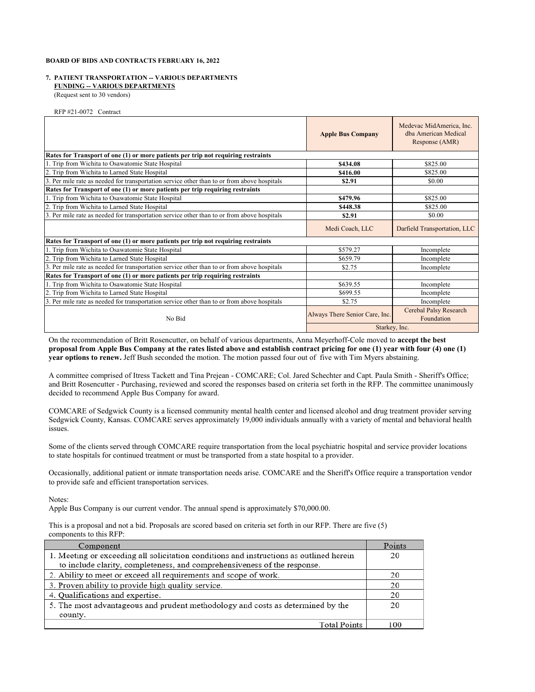#### **FUNDING -- VARIOUS DEPARTMENTS 7. PATIENT TRANSPORTATION -- VARIOUS DEPARTMENTS**

(Request sent to 30 vendors)

RFP #21-0072 Contract

|                                                                                             | <b>Apple Bus Company</b>       | Medevac MidAmerica, Inc.<br>dba American Medical<br>Response (AMR) |  |
|---------------------------------------------------------------------------------------------|--------------------------------|--------------------------------------------------------------------|--|
| Rates for Transport of one (1) or more patients per trip not requiring restraints           |                                |                                                                    |  |
| 1. Trip from Wichita to Osawatomie State Hospital                                           | \$434.08                       | \$825.00                                                           |  |
| 2. Trip from Wichita to Larned State Hospital                                               | \$416.00                       | \$825.00                                                           |  |
| 3. Per mile rate as needed for transportation service other than to or from above hospitals | \$2.91                         | \$0.00                                                             |  |
| Rates for Transport of one (1) or more patients per trip requiring restraints               |                                |                                                                    |  |
| . Trip from Wichita to Osawatomie State Hospital                                            | \$479.96                       | \$825.00                                                           |  |
| 2. Trip from Wichita to Larned State Hospital                                               | \$448.38                       | \$825.00                                                           |  |
| 3. Per mile rate as needed for transportation service other than to or from above hospitals | \$2.91                         | \$0.00                                                             |  |
|                                                                                             | Medi Coach, LLC                | Darfield Transportation, LLC                                       |  |
| Rates for Transport of one (1) or more patients per trip not requiring restraints           |                                |                                                                    |  |
| 1. Trip from Wichita to Osawatomie State Hospital                                           | \$579.27                       | Incomplete                                                         |  |
| 2. Trip from Wichita to Larned State Hospital                                               | \$659.79                       | Incomplete                                                         |  |
| 3. Per mile rate as needed for transportation service other than to or from above hospitals | \$2.75                         | Incomplete                                                         |  |
| Rates for Transport of one (1) or more patients per trip requiring restraints               |                                |                                                                    |  |
| . Trip from Wichita to Osawatomie State Hospital                                            | \$639.55                       | Incomplete                                                         |  |
| 2. Trip from Wichita to Larned State Hospital                                               | \$699.55                       | Incomplete                                                         |  |
| 3. Per mile rate as needed for transportation service other than to or from above hospitals | \$2.75                         | Incomplete                                                         |  |
| No Bid                                                                                      | Always There Senior Care, Inc. | Cerebal Palsy Research<br>Foundation                               |  |
|                                                                                             | Starkey, Inc.                  |                                                                    |  |

On the recommendation of Britt Rosencutter, on behalf of various departments, Anna Meyerhoff-Cole moved to **accept the best proposal from Apple Bus Company at the rates listed above and establish contract pricing for one (1) year with four (4) one (1) year options to renew.** Jeff Bush seconded the motion. The motion passed four out of five with Tim Myers abstaining.

A committee comprised of Itress Tackett and Tina Prejean - COMCARE; Col. Jared Schechter and Capt. Paula Smith - Sheriff's Office; and Britt Rosencutter - Purchasing, reviewed and scored the responses based on criteria set forth in the RFP. The committee unanimously decided to recommend Apple Bus Company for award.

COMCARE of Sedgwick County is a licensed community mental health center and licensed alcohol and drug treatment provider serving Sedgwick County, Kansas. COMCARE serves approximately 19,000 individuals annually with a variety of mental and behavioral health issues.

Some of the clients served through COMCARE require transportation from the local psychiatric hospital and service provider locations to state hospitals for continued treatment or must be transported from a state hospital to a provider.

Occasionally, additional patient or inmate transportation needs arise. COMCARE and the Sheriff's Office require a transportation vendor to provide safe and efficient transportation services.

Notes:

Apple Bus Company is our current vendor. The annual spend is approximately \$70,000.00.

This is a proposal and not a bid. Proposals are scored based on criteria set forth in our RFP. There are five (5) components to this RFP:

| Component                                                                               | Points |
|-----------------------------------------------------------------------------------------|--------|
| 1. Meeting or exceeding all solicitation conditions and instructions as outlined herein | 20     |
| to include clarity, completeness, and comprehensiveness of the response.                |        |
| 2. Ability to meet or exceed all requirements and scope of work.                        | 20     |
| 3. Proven ability to provide high quality service.                                      | 20     |
| 4. Qualifications and expertise.                                                        | 20     |
| 5. The most advantageous and prudent methodology and costs as determined by the         | 20     |
| county.                                                                                 |        |
| Total Points                                                                            |        |